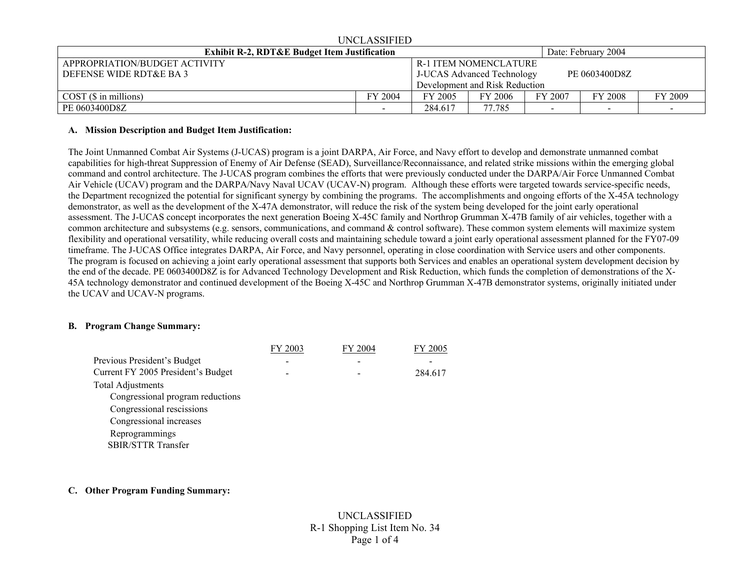| UNCLASSIFIED                                            |         |                                                    |                                |         |         |         |
|---------------------------------------------------------|---------|----------------------------------------------------|--------------------------------|---------|---------|---------|
| <b>Exhibit R-2, RDT&amp;E Budget Item Justification</b> |         |                                                    | Date: February 2004            |         |         |         |
| APPROPRIATION/BUDGET ACTIVITY                           |         |                                                    | <b>R-1 ITEM NOMENCLATURE</b>   |         |         |         |
| DEFENSE WIDE RDT&E BA 3                                 |         | PE 0603400D8Z<br><b>J-UCAS Advanced Technology</b> |                                |         |         |         |
|                                                         |         |                                                    | Development and Risk Reduction |         |         |         |
| $COST(S)$ in millions)                                  | FY 2004 | FY 2005                                            | FY 2006                        | FY 2007 | FY 2008 | FY 2009 |
| PE 0603400D8Z                                           |         | 284.617                                            | 77.785                         |         |         |         |

#### **A. Mission Description and Budget Item Justification:**

The Joint Unmanned Combat Air Systems (J-UCAS) program is a joint DARPA, Air Force, and Navy effort to develop and demonstrate unmanned combat capabilities for high-threat Suppression of Enemy of Air Defense (SEAD), Surveillance/Reconnaissance, and related strike missions within the emerging global command and control architecture. The J-UCAS program combines the efforts that were previously conducted under the DARPA/Air Force Unmanned Combat Air Vehicle (UCAV) program and the DARPA/Navy Naval UCAV (UCAV-N) program. Although these efforts were targeted towards service-specific needs, the Department recognized the potential for significant synergy by combining the programs. The accomplishments and ongoing efforts of the X-45A technology demonstrator, as well as the development of the X-47A demonstrator, will reduce the risk of the system being developed for the joint early operational assessment. The J-UCAS concept incorporates the next generation Boeing X-45C family and Northrop Grumman X-47B family of air vehicles, together with a common architecture and subsystems (e.g. sensors, communications, and command & control software). These common system elements will maximize system flexibility and operational versatility, while reducing overall costs and maintaining schedule toward a joint early operational assessment planned for the FY07-09 timeframe. The J-UCAS Office integrates DARPA, Air Force, and Navy personnel, operating in close coordination with Service users and other components. The program is focused on achieving a joint early operational assessment that supports both Services and enables an operational system development decision by the end of the decade. PE 0603400D8Z is for Advanced Technology Development and Risk Reduction, which funds the completion of demonstrations of the X-45A technology demonstrator and continued development of the Boeing X-45C and Northrop Grumman X-47B demonstrator systems, originally initiated under the UCAV and UCAV-N programs.

# **B. Program Change Summary:**

|                                    | FY 2003 | FY 2004 | FY 2005 |
|------------------------------------|---------|---------|---------|
| Previous President's Budget        |         |         |         |
| Current FY 2005 President's Budget |         |         | 284.617 |
| <b>Total Adjustments</b>           |         |         |         |
| Congressional program reductions   |         |         |         |
| Congressional rescissions          |         |         |         |
| Congressional increases            |         |         |         |
| Reprogrammings                     |         |         |         |
| <b>SBIR/STTR Transfer</b>          |         |         |         |

# **C. Other Program Funding Summary:**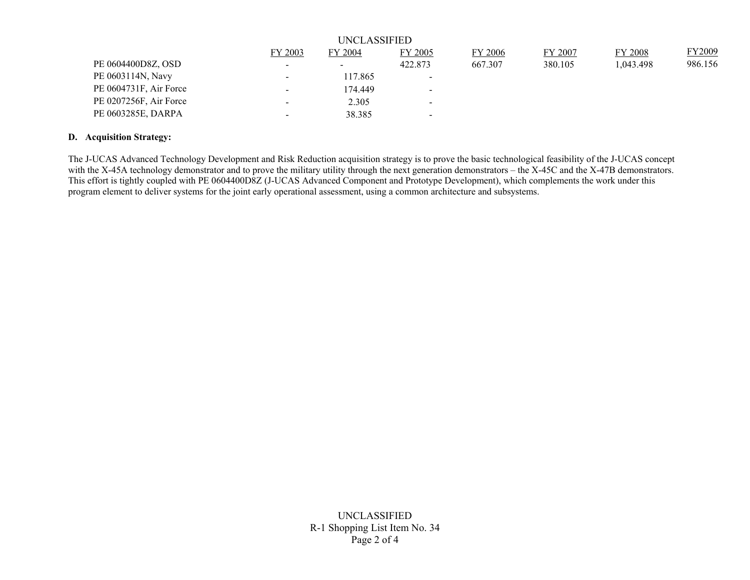| UNCLASSIFIED           |                          |                          |                          |                |         |           |         |
|------------------------|--------------------------|--------------------------|--------------------------|----------------|---------|-----------|---------|
|                        | FY 2003                  | <b>FY 2004</b>           | FY 2005                  | <b>FY 2006</b> | FY 2007 | FY 2008   | FY2009  |
| PE 0604400D8Z, OSD     | $\overline{\phantom{a}}$ | $\overline{\phantom{0}}$ | 422.873                  | 667.307        | 380.105 | 1,043.498 | 986.156 |
| PE 0603114N, Navy      | $\overline{\phantom{0}}$ | 117.865                  | $\blacksquare$           |                |         |           |         |
| PE 0604731F, Air Force | $\blacksquare$           | 174.449                  | $\blacksquare$           |                |         |           |         |
| PE 0207256F, Air Force | $\overline{\phantom{0}}$ | 2.305                    | $\overline{\phantom{a}}$ |                |         |           |         |
| PE 0603285E, DARPA     | $\overline{\phantom{0}}$ | 38.385                   | $\overline{\phantom{a}}$ |                |         |           |         |

# **D. Acquisition Strategy:**

The J-UCAS Advanced Technology Development and Risk Reduction acquisition strategy is to prove the basic technological feasibility of the J-UCAS concept with the X-45A technology demonstrator and to prove the military utility through the next generation demonstrators – the X-45C and the X-47B demonstrators. This effort is tightly coupled with PE 0604400D8Z (J-UCAS Advanced Component and Prototype Development), which complements the work under this program element to deliver systems for the joint early operational assessment, using a common architecture and subsystems.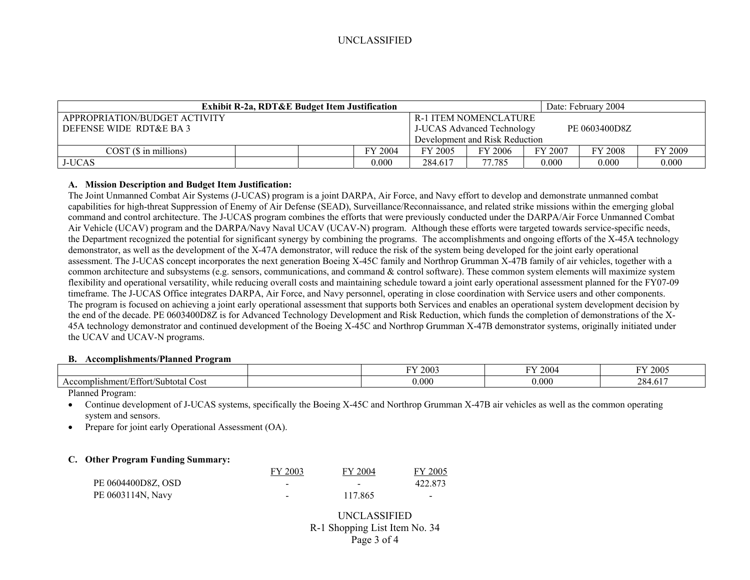# UNCLASSIFIED

| <b>Exhibit R-2a, RDT&amp;E Budget Item Justification</b> |  |                                                    | Date: February 2004            |                              |         |                |         |
|----------------------------------------------------------|--|----------------------------------------------------|--------------------------------|------------------------------|---------|----------------|---------|
| APPROPRIATION/BUDGET ACTIVITY                            |  |                                                    |                                | <b>R-1 ITEM NOMENCLATURE</b> |         |                |         |
| DEFENSE WIDE RDT&E BA 3                                  |  | <b>J-UCAS Advanced Technology</b><br>PE 0603400D8Z |                                |                              |         |                |         |
|                                                          |  |                                                    | Development and Risk Reduction |                              |         |                |         |
| COST(S in millions)                                      |  | FY 2004                                            | FY 2005                        | FY 2006                      | FY 2007 | <b>FY 2008</b> | FY 2009 |
| <b>J-UCAS</b>                                            |  | 0.000                                              | 284.617                        | 77.785                       | 0.000   | 0.000          | 0.000   |

# **A. Mission Description and Budget Item Justification:**

The Joint Unmanned Combat Air Systems (J-UCAS) program is a joint DARPA, Air Force, and Navy effort to develop and demonstrate unmanned combat capabilities for high-threat Suppression of Enemy of Air Defense (SEAD), Surveillance/Reconnaissance, and related strike missions within the emerging global command and control architecture. The J-UCAS program combines the efforts that were previously conducted under the DARPA/Air Force Unmanned Combat Air Vehicle (UCAV) program and the DARPA/Navy Naval UCAV (UCAV-N) program. Although these efforts were targeted towards service-specific needs, the Department recognized the potential for significant synergy by combining the programs. The accomplishments and ongoing efforts of the X-45A technology demonstrator, as well as the development of the X-47A demonstrator, will reduce the risk of the system being developed for the joint early operational assessment. The J-UCAS concept incorporates the next generation Boeing X-45C family and Northrop Grumman X-47B family of air vehicles, together with a common architecture and subsystems (e.g. sensors, communications, and command & control software). These common system elements will maximize system flexibility and operational versatility, while reducing overall costs and maintaining schedule toward a joint early operational assessment planned for the FY07-09 timeframe. The J-UCAS Office integrates DARPA, Air Force, and Navy personnel, operating in close coordination with Service users and other components. The program is focused on achieving a joint early operational assessment that supports both Services and enables an operational system development decision by the end of the decade. PE 0603400D8Z is for Advanced Technology Development and Risk Reduction, which funds the completion of demonstrations of the X-45A technology demonstrator and continued development of the Boeing X-45C and Northrop Grumman X-47B demonstrator systems, originally initiated under the UCAV and UCAV-N programs.

#### **B. Accomplishments/Planned Program**

|                                                       | 12003<br>mх | DV.<br>2004 | FY 2005                        |
|-------------------------------------------------------|-------------|-------------|--------------------------------|
| ±ffort/Subtotal_<br>Accomplishment/<br>Cost<br>. 100° | 0.000       | 0.000       | 284<br>$\sim$ 1 $\sim$<br>4.01 |
| - -<br>$\sim$                                         |             |             |                                |

Planned Program:

- • Continue development of J-UCAS systems, specifically the Boeing X-45C and Northrop Grumman X-47B air vehicles as well as the common operating system and sensors.
- •Prepare for joint early Operational Assessment (OA).

# **C. Other Program Funding Summary:**

|                    | FY 2003 | FY 2004                  | FY 2005                  |
|--------------------|---------|--------------------------|--------------------------|
| PE 0604400D8Z, OSD | -       | $\overline{\phantom{0}}$ | 422.873                  |
| PE 0603114N, Navy  | -       | 117.865                  | $\overline{\phantom{0}}$ |

# UNCLASSIFIED R-1 Shopping List Item No. 34 Page 3 of 4